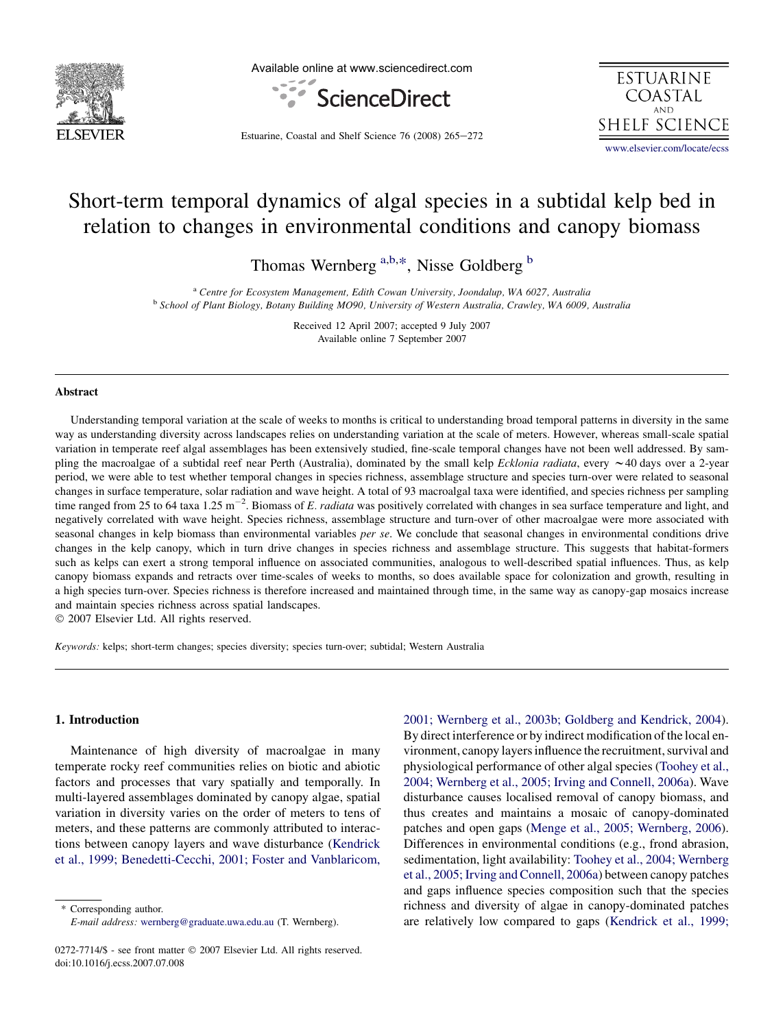

Available online at www.sciencedirect.com





Estuarine, Coastal and Shelf Science 76 (2008) 265-272

Short-term temporal dynamics of algal species in a subtidal kelp bed in relation to changes in environmental conditions and canopy biomass

Thomas Wernberg <sup>a,b,\*</sup>, Nisse Goldberg <sup>b</sup>

<sup>a</sup> Centre for Ecosystem Management, Edith Cowan University, Joondalup, WA 6027, Australia b School of Plant Biology, Botany Building MO90, University of Western Australia, Crawley, WA 6009, Australia

Received 12 April 2007; accepted 9 July 2007 Available online 7 September 2007

## Abstract

Understanding temporal variation at the scale of weeks to months is critical to understanding broad temporal patterns in diversity in the same way as understanding diversity across landscapes relies on understanding variation at the scale of meters. However, whereas small-scale spatial variation in temperate reef algal assemblages has been extensively studied, fine-scale temporal changes have not been well addressed. By sampling the macroalgae of a subtidal reef near Perth (Australia), dominated by the small kelp *Ecklonia radiata*, every  $\sim$ 40 days over a 2-year period, we were able to test whether temporal changes in species richness, assemblage structure and species turn-over were related to seasonal changes in surface temperature, solar radiation and wave height. A total of 93 macroalgal taxa were identified, and species richness per sampling time ranged from 25 to 64 taxa 1.25 m<sup>-2</sup>. Biomass of E. radiata was positively correlated with changes in sea surface temperature and light, and negatively correlated with wave height. Species richness, assemblage structure and turn-over of other macroalgae were more associated with seasonal changes in kelp biomass than environmental variables *per se*. We conclude that seasonal changes in environmental conditions drive changes in the kelp canopy, which in turn drive changes in species richness and assemblage structure. This suggests that habitat-formers such as kelps can exert a strong temporal influence on associated communities, analogous to well-described spatial influences. Thus, as kelp canopy biomass expands and retracts over time-scales of weeks to months, so does available space for colonization and growth, resulting in a high species turn-over. Species richness is therefore increased and maintained through time, in the same way as canopy-gap mosaics increase and maintain species richness across spatial landscapes.

 $© 2007 Elsevier Ltd. All rights reserved.$ 

Keywords: kelps; short-term changes; species diversity; species turn-over; subtidal; Western Australia

## 1. Introduction

Maintenance of high diversity of macroalgae in many temperate rocky reef communities relies on biotic and abiotic factors and processes that vary spatially and temporally. In multi-layered assemblages dominated by canopy algae, spatial variation in diversity varies on the order of meters to tens of meters, and these patterns are commonly attributed to interactions between canopy layers and wave disturbance ([Kendrick](#page-6-0) [et al., 1999; Benedetti-Cecchi, 2001; Foster and Vanblaricom,](#page-6-0)

Corresponding author. E-mail address: [wernberg@graduate.uwa.edu.au](mailto:wernberg@graduate.uwa.edu.au) (T. Wernberg). [2001; Wernberg et al., 2003b; Goldberg and Kendrick, 2004\)](#page-6-0). By direct interference or by indirect modification of the local environment, canopy layers influence the recruitment, survival and physiological performance of other algal species [\(Toohey et al.,](#page-6-0) [2004; Wernberg et al., 2005; Irving and Connell, 2006a\)](#page-6-0). Wave disturbance causes localised removal of canopy biomass, and thus creates and maintains a mosaic of canopy-dominated patches and open gaps [\(Menge et al., 2005; Wernberg, 2006\)](#page-6-0). Differences in environmental conditions (e.g., frond abrasion, sedimentation, light availability: [Toohey et al., 2004; Wernberg](#page-6-0) [et al., 2005; Irving and Connell, 2006a\)](#page-6-0) between canopy patches and gaps influence species composition such that the species richness and diversity of algae in canopy-dominated patches are relatively low compared to gaps ([Kendrick et al., 1999;](#page-6-0)

<sup>0272-7714/\$ -</sup> see front matter © 2007 Elsevier Ltd. All rights reserved. doi:10.1016/j.ecss.2007.07.008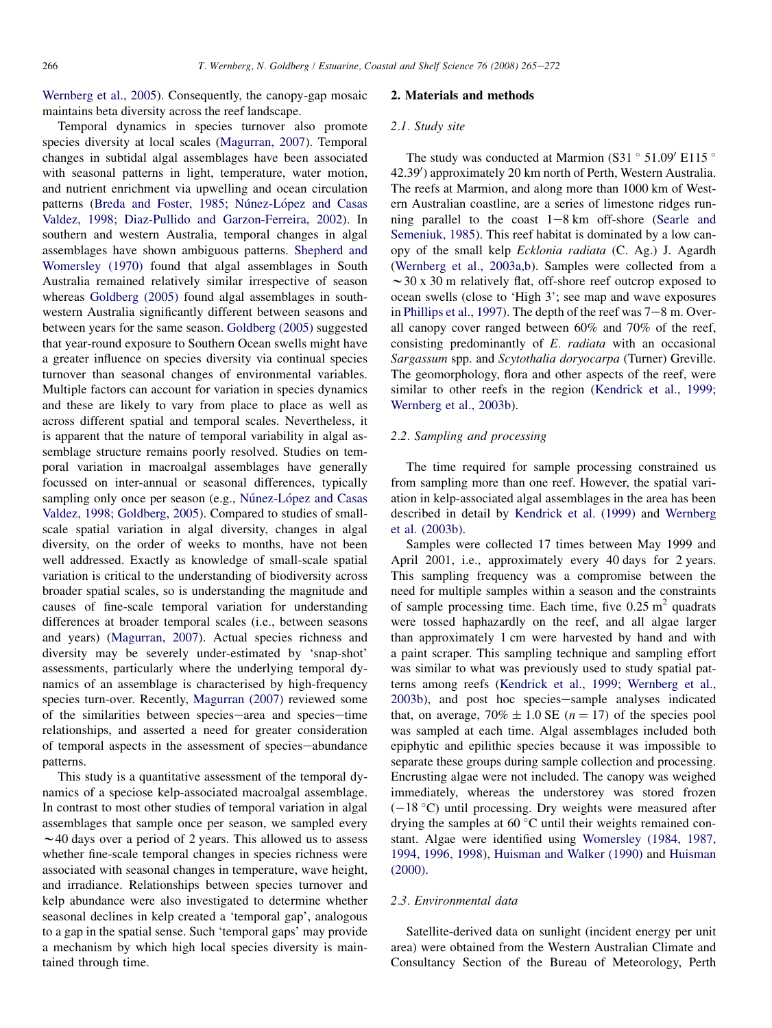[Wernberg et al., 2005\)](#page-6-0). Consequently, the canopy-gap mosaic maintains beta diversity across the reef landscape.

Temporal dynamics in species turnover also promote species diversity at local scales ([Magurran, 2007\)](#page-6-0). Temporal changes in subtidal algal assemblages have been associated with seasonal patterns in light, temperature, water motion, and nutrient enrichment via upwelling and ocean circulation patterns (Breda and Foster, 1985; Núnez-López and Casas [Valdez, 1998; Diaz-Pullido and Garzon-Ferreira, 2002](#page-6-0)). In southern and western Australia, temporal changes in algal assemblages have shown ambiguous patterns. [Shepherd and](#page-6-0) [Womersley \(1970\)](#page-6-0) found that algal assemblages in South Australia remained relatively similar irrespective of season whereas [Goldberg \(2005\)](#page-6-0) found algal assemblages in southwestern Australia significantly different between seasons and between years for the same season. [Goldberg \(2005\)](#page-6-0) suggested that year-round exposure to Southern Ocean swells might have a greater influence on species diversity via continual species turnover than seasonal changes of environmental variables. Multiple factors can account for variation in species dynamics and these are likely to vary from place to place as well as across different spatial and temporal scales. Nevertheless, it is apparent that the nature of temporal variability in algal assemblage structure remains poorly resolved. Studies on temporal variation in macroalgal assemblages have generally focussed on inter-annual or seasonal differences, typically sampling only once per season (e.g., Núnez-López and Casas [Valdez, 1998; Goldberg, 2005\)](#page-6-0). Compared to studies of smallscale spatial variation in algal diversity, changes in algal diversity, on the order of weeks to months, have not been well addressed. Exactly as knowledge of small-scale spatial variation is critical to the understanding of biodiversity across broader spatial scales, so is understanding the magnitude and causes of fine-scale temporal variation for understanding differences at broader temporal scales (i.e., between seasons and years) ([Magurran, 2007](#page-6-0)). Actual species richness and diversity may be severely under-estimated by 'snap-shot' assessments, particularly where the underlying temporal dynamics of an assemblage is characterised by high-frequency species turn-over. Recently, [Magurran \(2007\)](#page-6-0) reviewed some of the similarities between species-area and species-time relationships, and asserted a need for greater consideration of temporal aspects in the assessment of species-abundance patterns.

This study is a quantitative assessment of the temporal dynamics of a speciose kelp-associated macroalgal assemblage. In contrast to most other studies of temporal variation in algal assemblages that sample once per season, we sampled every  $\sim$  40 days over a period of 2 years. This allowed us to assess whether fine-scale temporal changes in species richness were associated with seasonal changes in temperature, wave height, and irradiance. Relationships between species turnover and kelp abundance were also investigated to determine whether seasonal declines in kelp created a 'temporal gap', analogous to a gap in the spatial sense. Such 'temporal gaps' may provide a mechanism by which high local species diversity is maintained through time.

# 2. Materials and methods

## 2.1. Study site

The study was conducted at Marmion (S31 $\degree$  51.09 $\degree$  E115 $\degree$ 42.39') approximately 20 km north of Perth, Western Australia. The reefs at Marmion, and along more than 1000 km of Western Australian coastline, are a series of limestone ridges running parallel to the coast  $1-8$  km off-shore ([Searle and](#page-6-0) [Semeniuk, 1985\)](#page-6-0). This reef habitat is dominated by a low canopy of the small kelp Ecklonia radiata (C. Ag.) J. Agardh [\(Wernberg et al., 2003a,b\)](#page-6-0). Samples were collected from a  $\sim$  30 x 30 m relatively flat, off-shore reef outcrop exposed to ocean swells (close to 'High 3'; see map and wave exposures in [Phillips et al., 1997\)](#page-6-0). The depth of the reef was  $7-8$  m. Overall canopy cover ranged between 60% and 70% of the reef, consisting predominantly of E. radiata with an occasional Sargassum spp. and Scytothalia doryocarpa (Turner) Greville. The geomorphology, flora and other aspects of the reef, were similar to other reefs in the region [\(Kendrick et al., 1999;](#page-6-0) [Wernberg et al., 2003b](#page-6-0)).

# 2.2. Sampling and processing

The time required for sample processing constrained us from sampling more than one reef. However, the spatial variation in kelp-associated algal assemblages in the area has been described in detail by [Kendrick et al. \(1999\)](#page-6-0) and [Wernberg](#page-6-0) [et al. \(2003b\).](#page-6-0)

Samples were collected 17 times between May 1999 and April 2001, i.e., approximately every 40 days for 2 years. This sampling frequency was a compromise between the need for multiple samples within a season and the constraints of sample processing time. Each time, five  $0.25 \text{ m}^2$  quadrats were tossed haphazardly on the reef, and all algae larger than approximately 1 cm were harvested by hand and with a paint scraper. This sampling technique and sampling effort was similar to what was previously used to study spatial patterns among reefs ([Kendrick et al., 1999; Wernberg et al.,](#page-6-0) [2003b\)](#page-6-0), and post hoc species-sample analyses indicated that, on average,  $70\% \pm 1.0$  SE ( $n = 17$ ) of the species pool was sampled at each time. Algal assemblages included both epiphytic and epilithic species because it was impossible to separate these groups during sample collection and processing. Encrusting algae were not included. The canopy was weighed immediately, whereas the understorey was stored frozen  $(-18 °C)$  until processing. Dry weights were measured after drying the samples at 60 $\degree$ C until their weights remained constant. Algae were identified using [Womersley \(1984, 1987,](#page-7-0) [1994, 1996, 1998\)](#page-7-0), [Huisman and Walker \(1990\)](#page-6-0) and [Huisman](#page-6-0) [\(2000\)](#page-6-0).

## 2.3. Environmental data

Satellite-derived data on sunlight (incident energy per unit area) were obtained from the Western Australian Climate and Consultancy Section of the Bureau of Meteorology, Perth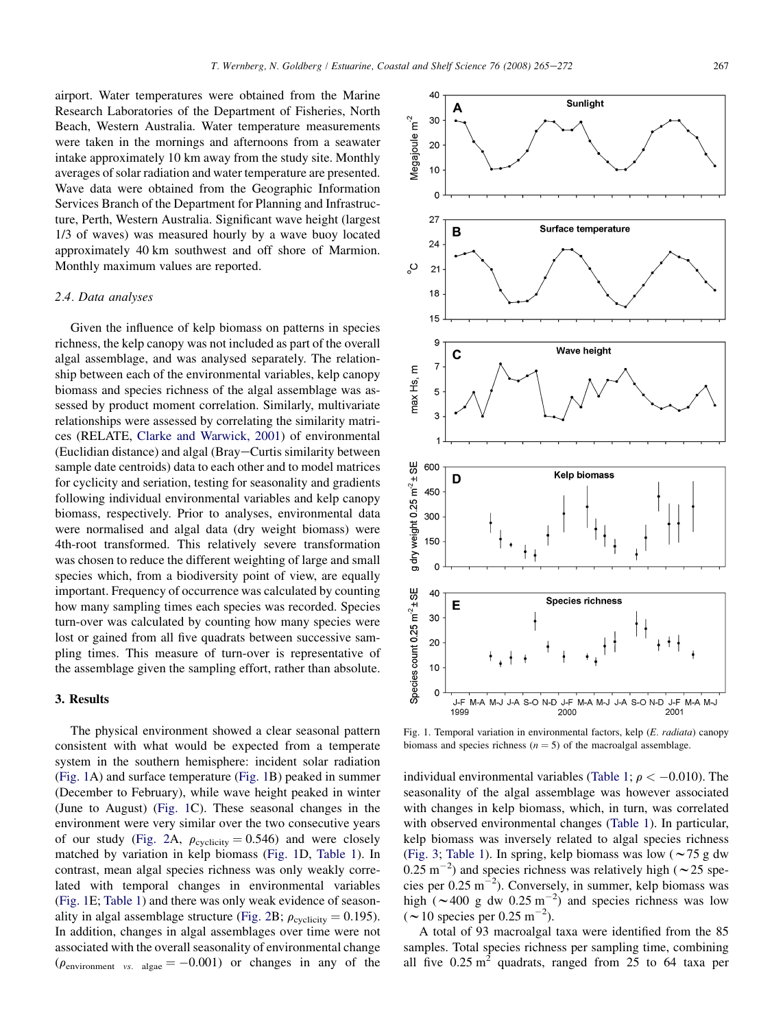airport. Water temperatures were obtained from the Marine Research Laboratories of the Department of Fisheries, North Beach, Western Australia. Water temperature measurements were taken in the mornings and afternoons from a seawater intake approximately 10 km away from the study site. Monthly averages of solar radiation and water temperature are presented. Wave data were obtained from the Geographic Information Services Branch of the Department for Planning and Infrastructure, Perth, Western Australia. Significant wave height (largest 1/3 of waves) was measured hourly by a wave buoy located approximately 40 km southwest and off shore of Marmion. Monthly maximum values are reported.

## 2.4. Data analyses

Given the influence of kelp biomass on patterns in species richness, the kelp canopy was not included as part of the overall algal assemblage, and was analysed separately. The relationship between each of the environmental variables, kelp canopy biomass and species richness of the algal assemblage was assessed by product moment correlation. Similarly, multivariate relationships were assessed by correlating the similarity matrices (RELATE, [Clarke and Warwick, 2001\)](#page-6-0) of environmental (Euclidian distance) and algal (Bray–Curtis similarity between sample date centroids) data to each other and to model matrices for cyclicity and seriation, testing for seasonality and gradients following individual environmental variables and kelp canopy biomass, respectively. Prior to analyses, environmental data were normalised and algal data (dry weight biomass) were 4th-root transformed. This relatively severe transformation was chosen to reduce the different weighting of large and small species which, from a biodiversity point of view, are equally important. Frequency of occurrence was calculated by counting how many sampling times each species was recorded. Species turn-over was calculated by counting how many species were lost or gained from all five quadrats between successive sampling times. This measure of turn-over is representative of the assemblage given the sampling effort, rather than absolute.

# 3. Results

The physical environment showed a clear seasonal pattern consistent with what would be expected from a temperate system in the southern hemisphere: incident solar radiation (Fig. 1A) and surface temperature (Fig. 1B) peaked in summer (December to February), while wave height peaked in winter (June to August) (Fig. 1C). These seasonal changes in the environment were very similar over the two consecutive years of our study ([Fig. 2](#page-3-0)A,  $\rho_{\text{cyclicity}} = 0.546$ ) and were closely matched by variation in kelp biomass (Fig. 1D, [Table 1\)](#page-3-0). In contrast, mean algal species richness was only weakly correlated with temporal changes in environmental variables (Fig. 1E; [Table 1\)](#page-3-0) and there was only weak evidence of season-ality in algal assemblage structure ([Fig. 2B](#page-3-0);  $\rho_{\text{cyclicity}} = 0.195$ ). In addition, changes in algal assemblages over time were not associated with the overall seasonality of environmental change  $(\rho_{\text{environment}}$  vs. algae  $= -0.001$ ) or changes in any of the



Fig. 1. Temporal variation in environmental factors, kelp (E. radiata) canopy biomass and species richness ( $n = 5$ ) of the macroalgal assemblage.

individual environmental variables [\(Table 1;](#page-3-0)  $\rho < -0.010$ ). The seasonality of the algal assemblage was however associated with changes in kelp biomass, which, in turn, was correlated with observed environmental changes [\(Table 1](#page-3-0)). In particular, kelp biomass was inversely related to algal species richness ([Fig. 3;](#page-3-0) [Table 1](#page-3-0)). In spring, kelp biomass was low ( $\sim$  75 g dw  $(0.25 \text{ m}^{-2})$  and species richness was relatively high ( $\sim$  25 species per  $0.25 \text{ m}^{-2}$ ). Conversely, in summer, kelp biomass was high  $(\sim 400 \text{ g dw } 0.25 \text{ m}^{-2})$  and species richness was low  $({\sim}10 \text{ species per } 0.25 \text{ m}^{-2}).$ 

A total of 93 macroalgal taxa were identified from the 85 samples. Total species richness per sampling time, combining all five  $0.25 \text{ m}^2$  quadrats, ranged from 25 to 64 taxa per

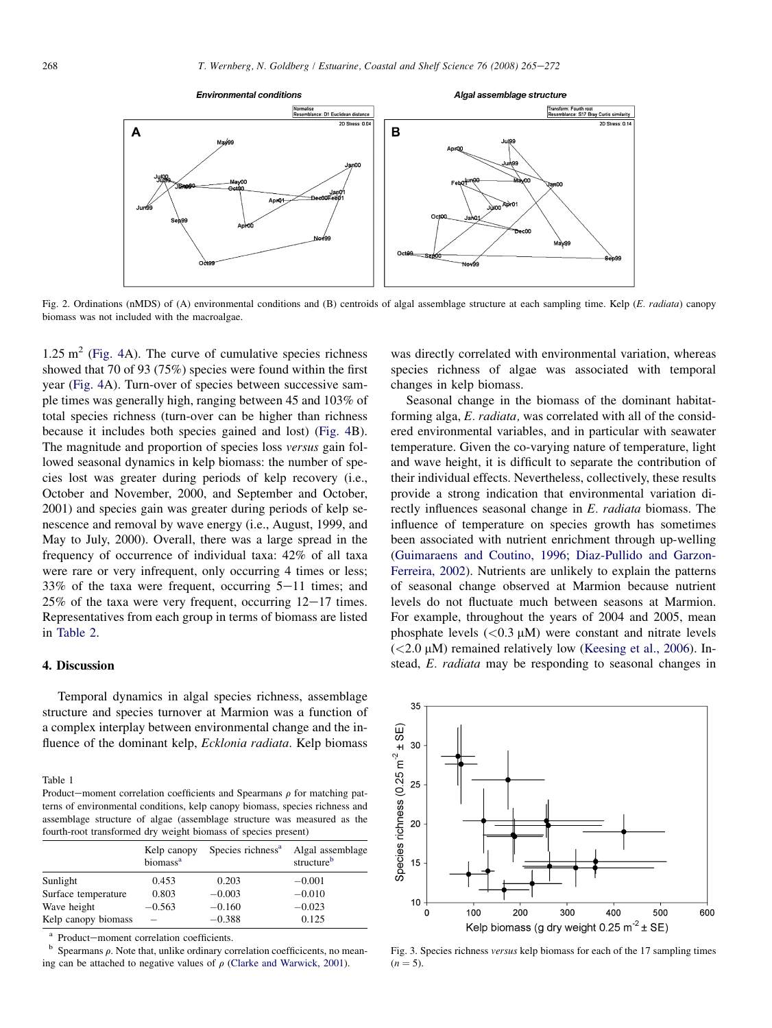<span id="page-3-0"></span>

Fig. 2. Ordinations (nMDS) of (A) environmental conditions and (B) centroids of algal assemblage structure at each sampling time. Kelp (E. radiata) canopy biomass was not included with the macroalgae.

 $1.25 \text{ m}^2$  [\(Fig. 4A](#page-4-0)). The curve of cumulative species richness showed that 70 of 93 (75%) species were found within the first year [\(Fig. 4](#page-4-0)A). Turn-over of species between successive sample times was generally high, ranging between 45 and 103% of total species richness (turn-over can be higher than richness because it includes both species gained and lost) [\(Fig. 4](#page-4-0)B). The magnitude and proportion of species loss versus gain followed seasonal dynamics in kelp biomass: the number of species lost was greater during periods of kelp recovery (i.e., October and November, 2000, and September and October, 2001) and species gain was greater during periods of kelp senescence and removal by wave energy (i.e., August, 1999, and May to July, 2000). Overall, there was a large spread in the frequency of occurrence of individual taxa: 42% of all taxa were rare or very infrequent, only occurring 4 times or less; 33% of the taxa were frequent, occurring  $5-11$  times; and  $25\%$  of the taxa were very frequent, occurring  $12-17$  times. Representatives from each group in terms of biomass are listed in [Table 2](#page-5-0).

# 4. Discussion

Temporal dynamics in algal species richness, assemblage structure and species turnover at Marmion was a function of a complex interplay between environmental change and the influence of the dominant kelp, Ecklonia radiata. Kelp biomass

Table 1

Product-moment correlation coefficients and Spearmans  $\rho$  for matching patterns of environmental conditions, kelp canopy biomass, species richness and assemblage structure of algae (assemblage structure was measured as the fourth-root transformed dry weight biomass of species present)

|                     | Kelp canopy<br>biomass <sup>a</sup> | Species richness <sup>a</sup> | Algal assemblage<br>structure <sup>b</sup> |
|---------------------|-------------------------------------|-------------------------------|--------------------------------------------|
| Sunlight            | 0.453                               | 0.203                         | $-0.001$                                   |
| Surface temperature | 0.803                               | $-0.003$                      | $-0.010$                                   |
| Wave height         | $-0.563$                            | $-0.160$                      | $-0.023$                                   |
| Kelp canopy biomass |                                     | $-0.388$                      | 0.125                                      |

<sup>a</sup> Product—moment correlation coefficients. b Spearmans  $\rho$ . Note that, unlike ordinary correlation coefficicents, no meaning can be attached to negative values of  $\rho$  [\(Clarke and Warwick, 2001\)](#page-6-0).

was directly correlated with environmental variation, whereas species richness of algae was associated with temporal changes in kelp biomass.

Seasonal change in the biomass of the dominant habitatforming alga, E. radiata, was correlated with all of the considered environmental variables, and in particular with seawater temperature. Given the co-varying nature of temperature, light and wave height, it is difficult to separate the contribution of their individual effects. Nevertheless, collectively, these results provide a strong indication that environmental variation directly influences seasonal change in E. radiata biomass. The influence of temperature on species growth has sometimes been associated with nutrient enrichment through up-welling [\(Guimaraens and Coutino, 1996; Diaz-Pullido and Garzon-](#page-6-0)[Ferreira, 2002](#page-6-0)). Nutrients are unlikely to explain the patterns of seasonal change observed at Marmion because nutrient levels do not fluctuate much between seasons at Marmion. For example, throughout the years of 2004 and 2005, mean phosphate levels  $(< 0.3 \mu M$ ) were constant and nitrate levels  $(<2.0 \mu M$ ) remained relatively low ([Keesing et al., 2006](#page-6-0)). Instead, E. radiata may be responding to seasonal changes in



Fig. 3. Species richness versus kelp biomass for each of the 17 sampling times  $(n = 5)$ .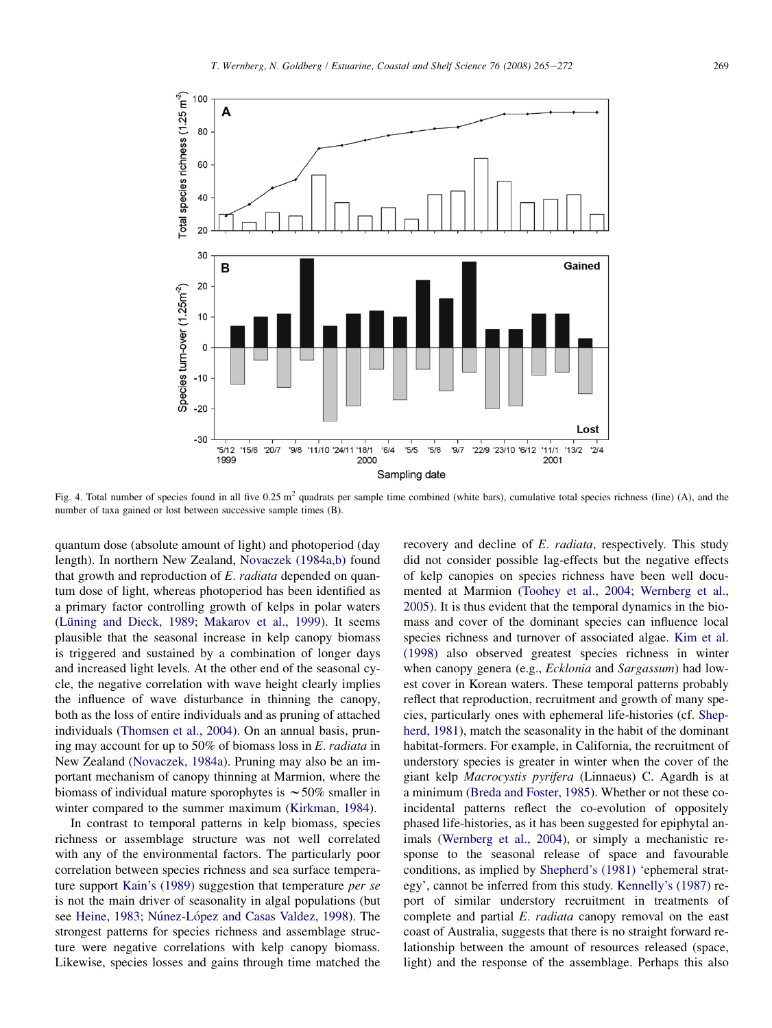<span id="page-4-0"></span>

Fig. 4. Total number of species found in all five  $0.25 \text{ m}^2$  quadrats per sample time combined (white bars), cumulative total species richness (line) (A), and the number of taxa gained or lost between successive sample times (B).

quantum dose (absolute amount of light) and photoperiod (day length). In northern New Zealand, [Novaczek \(1984a,b\)](#page-6-0) found that growth and reproduction of E. *radiata* depended on quantum dose of light, whereas photoperiod has been identified as a primary factor controlling growth of kelps in polar waters (Lüning and Dieck, 1989; Makarov et al., 1999). It seems plausible that the seasonal increase in kelp canopy biomass is triggered and sustained by a combination of longer days and increased light levels. At the other end of the seasonal cycle, the negative correlation with wave height clearly implies the influence of wave disturbance in thinning the canopy, both as the loss of entire individuals and as pruning of attached individuals [\(Thomsen et al., 2004\)](#page-6-0). On an annual basis, pruning may account for up to 50% of biomass loss in E. radiata in New Zealand ([Novaczek, 1984a](#page-6-0)). Pruning may also be an important mechanism of canopy thinning at Marmion, where the biomass of individual mature sporophytes is  $\sim$  50% smaller in winter compared to the summer maximum ([Kirkman, 1984](#page-6-0)).

In contrast to temporal patterns in kelp biomass, species richness or assemblage structure was not well correlated with any of the environmental factors. The particularly poor correlation between species richness and sea surface temperature support [Kain's \(1989\)](#page-6-0) suggestion that temperature per se is not the main driver of seasonality in algal populations (but see Heine, 1983; Núnez-López and Casas Valdez, 1998). The strongest patterns for species richness and assemblage structure were negative correlations with kelp canopy biomass. Likewise, species losses and gains through time matched the recovery and decline of E. radiata, respectively. This study did not consider possible lag-effects but the negative effects of kelp canopies on species richness have been well documented at Marmion [\(Toohey et al., 2004; Wernberg et al.,](#page-6-0) [2005](#page-6-0)). It is thus evident that the temporal dynamics in the biomass and cover of the dominant species can influence local species richness and turnover of associated algae. [Kim et al.](#page-6-0) [\(1998\)](#page-6-0) also observed greatest species richness in winter when canopy genera (e.g., *Ecklonia* and *Sargassum*) had lowest cover in Korean waters. These temporal patterns probably reflect that reproduction, recruitment and growth of many species, particularly ones with ephemeral life-histories (cf. [Shep](#page-6-0)[herd, 1981](#page-6-0)), match the seasonality in the habit of the dominant habitat-formers. For example, in California, the recruitment of understory species is greater in winter when the cover of the giant kelp Macrocystis pyrifera (Linnaeus) C. Agardh is at a minimum [\(Breda and Foster, 1985\)](#page-6-0). Whether or not these coincidental patterns reflect the co-evolution of oppositely phased life-histories, as it has been suggested for epiphytal animals [\(Wernberg et al., 2004](#page-7-0)), or simply a mechanistic response to the seasonal release of space and favourable conditions, as implied by [Shepherd's \(1981\)](#page-6-0) 'ephemeral strategy', cannot be inferred from this study. [Kennelly's \(1987\)](#page-6-0) report of similar understory recruitment in treatments of complete and partial E. radiata canopy removal on the east coast of Australia, suggests that there is no straight forward relationship between the amount of resources released (space, light) and the response of the assemblage. Perhaps this also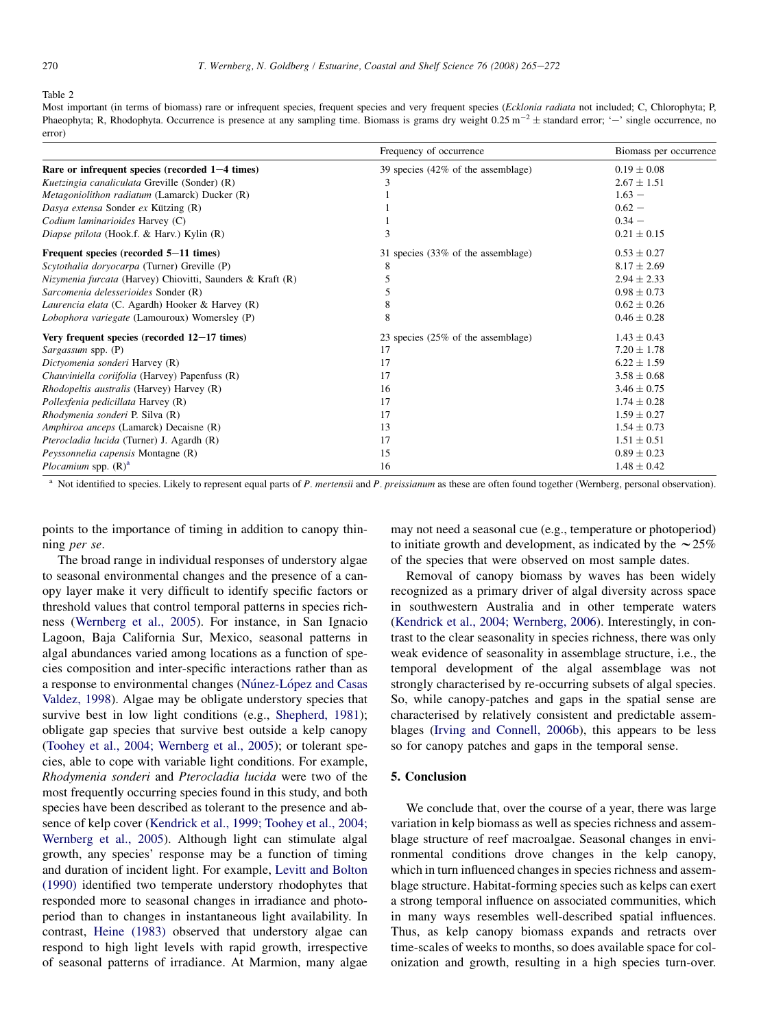#### <span id="page-5-0"></span>Table 2

Most important (in terms of biomass) rare or infrequent species, frequent species and very frequent species (Ecklonia radiata not included; C, Chlorophyta; P, Phaeophyta; R, Rhodophyta. Occurrence is presence at any sampling time. Biomass is grams dry weight  $0.25 \text{ m}^{-2} \pm \text{standard error}$ ; '-' single occurrence, no error)

|                                                                   | Frequency of occurrence            | Biomass per occurrence |
|-------------------------------------------------------------------|------------------------------------|------------------------|
| Rare or infrequent species (recorded $1-4$ times)                 | 39 species (42% of the assemblage) | $0.19 \pm 0.08$        |
| Kuetzingia canaliculata Greville (Sonder) (R)                     | 3                                  | $2.67 \pm 1.51$        |
| Metagoniolithon radiatum (Lamarck) Ducker (R)                     |                                    | $1.63 -$               |
| Dasya extensa Sonder ex Kützing (R)                               |                                    | $0.62 -$               |
| Codium laminarioides Harvey (C)                                   |                                    | $0.34 -$               |
| Diapse ptilota (Hook.f. & Harv.) Kylin (R)                        | 3                                  | $0.21 \pm 0.15$        |
| Frequent species (recorded 5–11 times)                            | 31 species (33% of the assemblage) | $0.53 \pm 0.27$        |
| Scytothalia doryocarpa (Turner) Greville (P)                      | 8                                  | $8.17 \pm 2.69$        |
| <i>Nizymenia furcata</i> (Harvey) Chiovitti, Saunders & Kraft (R) | 5                                  | $2.94 \pm 2.33$        |
| Sarcomenia delesserioides Sonder (R)                              | 5                                  | $0.98 \pm 0.73$        |
| Laurencia elata (C. Agardh) Hooker & Harvey (R)                   | 8                                  | $0.62 \pm 0.26$        |
| Lobophora variegate (Lamouroux) Womersley (P)                     | 8                                  | $0.46 \pm 0.28$        |
| Very frequent species (recorded $12-17$ times)                    | 23 species (25% of the assemblage) | $1.43 \pm 0.43$        |
| Sargassum spp. (P)                                                | 17                                 | $7.20 \pm 1.78$        |
| Dictyomenia sonderi Harvey (R)                                    | 17                                 | $6.22 + 1.59$          |
| Chauviniella coriifolia (Harvey) Papenfuss (R)                    | 17                                 | $3.58 \pm 0.68$        |
| <i>Rhodopeltis australis</i> (Harvey) Harvey (R)                  | 16                                 | $3.46 \pm 0.75$        |
| Pollexfenia pedicillata Harvey (R)                                | 17                                 | $1.74 \pm 0.28$        |
| Rhodymenia sonderi P. Silva (R)                                   | 17                                 | $1.59 \pm 0.27$        |
| Amphiroa anceps (Lamarck) Decaisne (R)                            | 13                                 | $1.54 \pm 0.73$        |
| Pterocladia lucida (Turner) J. Agardh (R)                         | 17                                 | $1.51 \pm 0.51$        |
| Peyssonnelia capensis Montagne (R)                                | 15                                 | $0.89 \pm 0.23$        |
| Plocamium spp. $(R)^a$                                            | 16                                 | $1.48 \pm 0.42$        |

<sup>a</sup> Not identified to species. Likely to represent equal parts of P. *mertensii* and P. *preissianum* as these are often found together (Wernberg, personal observation).

points to the importance of timing in addition to canopy thinning per se.

The broad range in individual responses of understory algae to seasonal environmental changes and the presence of a canopy layer make it very difficult to identify specific factors or threshold values that control temporal patterns in species richness [\(Wernberg et al., 2005\)](#page-7-0). For instance, in San Ignacio Lagoon, Baja California Sur, Mexico, seasonal patterns in algal abundances varied among locations as a function of species composition and inter-specific interactions rather than as a response to environmental changes (Núnez-López and Casas [Valdez, 1998\)](#page-6-0). Algae may be obligate understory species that survive best in low light conditions (e.g., [Shepherd, 1981\)](#page-6-0); obligate gap species that survive best outside a kelp canopy [\(Toohey et al., 2004; Wernberg et al., 2005](#page-6-0)); or tolerant species, able to cope with variable light conditions. For example, Rhodymenia sonderi and Pterocladia lucida were two of the most frequently occurring species found in this study, and both species have been described as tolerant to the presence and absence of kelp cover ([Kendrick et al., 1999; Toohey et al., 2004;](#page-6-0) [Wernberg et al., 2005](#page-6-0)). Although light can stimulate algal growth, any species' response may be a function of timing and duration of incident light. For example, [Levitt and Bolton](#page-6-0) [\(1990\)](#page-6-0) identified two temperate understory rhodophytes that responded more to seasonal changes in irradiance and photoperiod than to changes in instantaneous light availability. In contrast, [Heine \(1983\)](#page-6-0) observed that understory algae can respond to high light levels with rapid growth, irrespective of seasonal patterns of irradiance. At Marmion, many algae

may not need a seasonal cue (e.g., temperature or photoperiod) to initiate growth and development, as indicated by the  $\sim$  25% of the species that were observed on most sample dates.

Removal of canopy biomass by waves has been widely recognized as a primary driver of algal diversity across space in southwestern Australia and in other temperate waters [\(Kendrick et al., 2004; Wernberg, 2006](#page-6-0)). Interestingly, in contrast to the clear seasonality in species richness, there was only weak evidence of seasonality in assemblage structure, i.e., the temporal development of the algal assemblage was not strongly characterised by re-occurring subsets of algal species. So, while canopy-patches and gaps in the spatial sense are characterised by relatively consistent and predictable assemblages [\(Irving and Connell, 2006b\)](#page-6-0), this appears to be less so for canopy patches and gaps in the temporal sense.

## 5. Conclusion

We conclude that, over the course of a year, there was large variation in kelp biomass as well as species richness and assemblage structure of reef macroalgae. Seasonal changes in environmental conditions drove changes in the kelp canopy, which in turn influenced changes in species richness and assemblage structure. Habitat-forming species such as kelps can exert a strong temporal influence on associated communities, which in many ways resembles well-described spatial influences. Thus, as kelp canopy biomass expands and retracts over time-scales of weeks to months, so does available space for colonization and growth, resulting in a high species turn-over.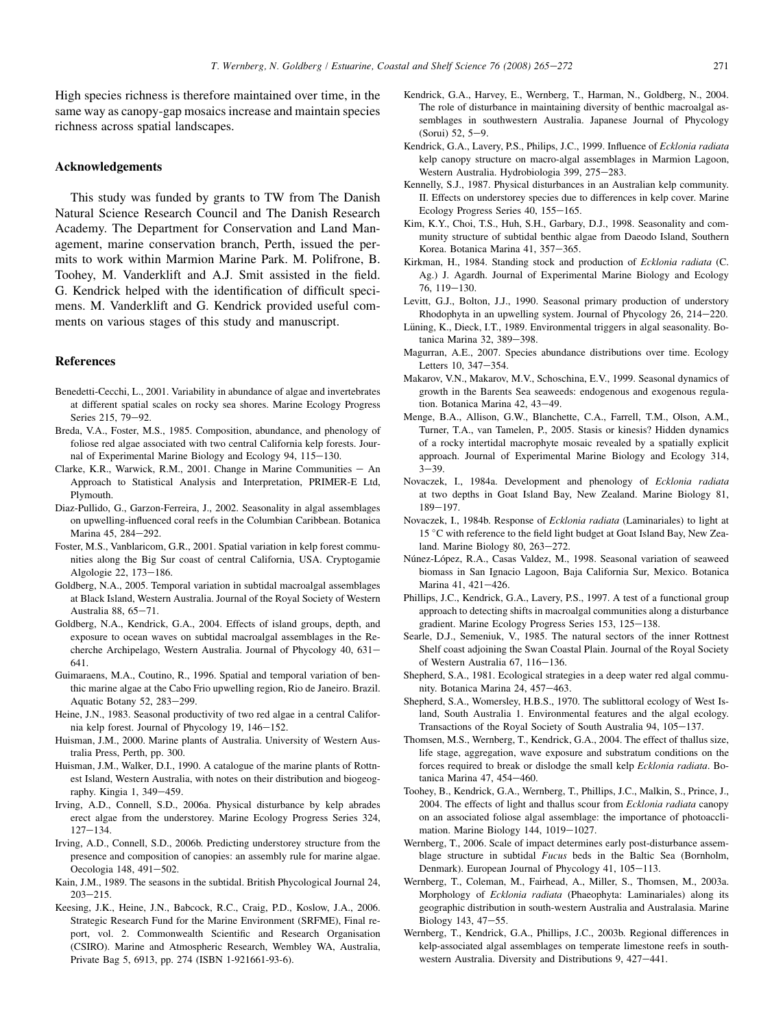<span id="page-6-0"></span>High species richness is therefore maintained over time, in the same way as canopy-gap mosaics increase and maintain species richness across spatial landscapes.

# Acknowledgements

This study was funded by grants to TW from The Danish Natural Science Research Council and The Danish Research Academy. The Department for Conservation and Land Management, marine conservation branch, Perth, issued the permits to work within Marmion Marine Park. M. Polifrone, B. Toohey, M. Vanderklift and A.J. Smit assisted in the field. G. Kendrick helped with the identification of difficult specimens. M. Vanderklift and G. Kendrick provided useful comments on various stages of this study and manuscript.

## References

- Benedetti-Cecchi, L., 2001. Variability in abundance of algae and invertebrates at different spatial scales on rocky sea shores. Marine Ecology Progress Series 215, 79-92.
- Breda, V.A., Foster, M.S., 1985. Composition, abundance, and phenology of foliose red algae associated with two central California kelp forests. Journal of Experimental Marine Biology and Ecology 94, 115-130.
- Clarke, K.R., Warwick, R.M., 2001. Change in Marine Communities  $-$  An Approach to Statistical Analysis and Interpretation, PRIMER-E Ltd, Plymouth.
- Diaz-Pullido, G., Garzon-Ferreira, J., 2002. Seasonality in algal assemblages on upwelling-influenced coral reefs in the Columbian Caribbean. Botanica Marina 45, 284-292.
- Foster, M.S., Vanblaricom, G.R., 2001. Spatial variation in kelp forest communities along the Big Sur coast of central California, USA. Cryptogamie Algologie 22, 173-186.
- Goldberg, N.A., 2005. Temporal variation in subtidal macroalgal assemblages at Black Island, Western Australia. Journal of the Royal Society of Western Australia 88,  $65-71$ .
- Goldberg, N.A., Kendrick, G.A., 2004. Effects of island groups, depth, and exposure to ocean waves on subtidal macroalgal assemblages in the Recherche Archipelago, Western Australia. Journal of Phycology 40, 631-641.
- Guimaraens, M.A., Coutino, R., 1996. Spatial and temporal variation of benthic marine algae at the Cabo Frio upwelling region, Rio de Janeiro. Brazil. Aquatic Botany 52, 283-299.
- Heine, J.N., 1983. Seasonal productivity of two red algae in a central California kelp forest. Journal of Phycology 19, 146-152.
- Huisman, J.M., 2000. Marine plants of Australia. University of Western Australia Press, Perth, pp. 300.
- Huisman, J.M., Walker, D.I., 1990. A catalogue of the marine plants of Rottnest Island, Western Australia, with notes on their distribution and biogeography. Kingia 1,  $349-459$ .
- Irving, A.D., Connell, S.D., 2006a. Physical disturbance by kelp abrades erect algae from the understorey. Marine Ecology Progress Series 324,  $127 - 134.$
- Irving, A.D., Connell, S.D., 2006b. Predicting understorey structure from the presence and composition of canopies: an assembly rule for marine algae. Oecologia 148, 491-502.
- Kain, J.M., 1989. The seasons in the subtidal. British Phycological Journal 24,  $203 - 215$ .
- Keesing, J.K., Heine, J.N., Babcock, R.C., Craig, P.D., Koslow, J.A., 2006. Strategic Research Fund for the Marine Environment (SRFME), Final report, vol. 2. Commonwealth Scientific and Research Organisation (CSIRO). Marine and Atmospheric Research, Wembley WA, Australia, Private Bag 5, 6913, pp. 274 (ISBN 1-921661-93-6).
- Kendrick, G.A., Harvey, E., Wernberg, T., Harman, N., Goldberg, N., 2004. The role of disturbance in maintaining diversity of benthic macroalgal assemblages in southwestern Australia. Japanese Journal of Phycology  $(Sorui) 52, 5-9.$
- Kendrick, G.A., Lavery, P.S., Philips, J.C., 1999. Influence of Ecklonia radiata kelp canopy structure on macro-algal assemblages in Marmion Lagoon, Western Australia. Hydrobiologia 399, 275-283.
- Kennelly, S.J., 1987. Physical disturbances in an Australian kelp community. II. Effects on understorey species due to differences in kelp cover. Marine Ecology Progress Series 40, 155-165.
- Kim, K.Y., Choi, T.S., Huh, S.H., Garbary, D.J., 1998. Seasonality and community structure of subtidal benthic algae from Daeodo Island, Southern Korea. Botanica Marina 41, 357-365.
- Kirkman, H., 1984. Standing stock and production of Ecklonia radiata (C. Ag.) J. Agardh. Journal of Experimental Marine Biology and Ecology 76, 119-130.
- Levitt, G.J., Bolton, J.J., 1990. Seasonal primary production of understory Rhodophyta in an upwelling system. Journal of Phycology  $26$ ,  $214-220$ .
- Lüning, K., Dieck, I.T., 1989. Environmental triggers in algal seasonality. Botanica Marina 32, 389-398.
- Magurran, A.E., 2007. Species abundance distributions over time. Ecology Letters 10, 347-354.
- Makarov, V.N., Makarov, M.V., Schoschina, E.V., 1999. Seasonal dynamics of growth in the Barents Sea seaweeds: endogenous and exogenous regulation. Botanica Marina 42, 43-49.
- Menge, B.A., Allison, G.W., Blanchette, C.A., Farrell, T.M., Olson, A.M., Turner, T.A., van Tamelen, P., 2005. Stasis or kinesis? Hidden dynamics of a rocky intertidal macrophyte mosaic revealed by a spatially explicit approach. Journal of Experimental Marine Biology and Ecology 314,  $3 - 39.$
- Novaczek, I., 1984a. Development and phenology of Ecklonia radiata at two depths in Goat Island Bay, New Zealand. Marine Biology 81, 189-197
- Novaczek, I., 1984b. Response of Ecklonia radiata (Laminariales) to light at 15 °C with reference to the field light budget at Goat Island Bay, New Zealand. Marine Biology 80, 263-272.
- Núnez-López, R.A., Casas Valdez, M., 1998. Seasonal variation of seaweed biomass in San Ignacio Lagoon, Baja California Sur, Mexico. Botanica Marina 41, 421-426.
- Phillips, J.C., Kendrick, G.A., Lavery, P.S., 1997. A test of a functional group approach to detecting shifts in macroalgal communities along a disturbance gradient. Marine Ecology Progress Series 153, 125-138.
- Searle, D.J., Semeniuk, V., 1985. The natural sectors of the inner Rottnest Shelf coast adjoining the Swan Coastal Plain. Journal of the Royal Society of Western Australia 67, 116-136.
- Shepherd, S.A., 1981. Ecological strategies in a deep water red algal community. Botanica Marina 24, 457-463.
- Shepherd, S.A., Womersley, H.B.S., 1970. The sublittoral ecology of West Island, South Australia 1. Environmental features and the algal ecology. Transactions of the Royal Society of South Australia 94,  $105-137$ .
- Thomsen, M.S., Wernberg, T., Kendrick, G.A., 2004. The effect of thallus size, life stage, aggregation, wave exposure and substratum conditions on the forces required to break or dislodge the small kelp Ecklonia radiata. Botanica Marina 47, 454-460.
- Toohey, B., Kendrick, G.A., Wernberg, T., Phillips, J.C., Malkin, S., Prince, J., 2004. The effects of light and thallus scour from Ecklonia radiata canopy on an associated foliose algal assemblage: the importance of photoacclimation. Marine Biology 144, 1019-1027.
- Wernberg, T., 2006. Scale of impact determines early post-disturbance assemblage structure in subtidal Fucus beds in the Baltic Sea (Bornholm, Denmark). European Journal of Phycology 41, 105-113.
- Wernberg, T., Coleman, M., Fairhead, A., Miller, S., Thomsen, M., 2003a. Morphology of Ecklonia radiata (Phaeophyta: Laminariales) along its geographic distribution in south-western Australia and Australasia. Marine Biology 143,  $47-55$ .
- Wernberg, T., Kendrick, G.A., Phillips, J.C., 2003b. Regional differences in kelp-associated algal assemblages on temperate limestone reefs in southwestern Australia. Diversity and Distributions 9, 427-441.